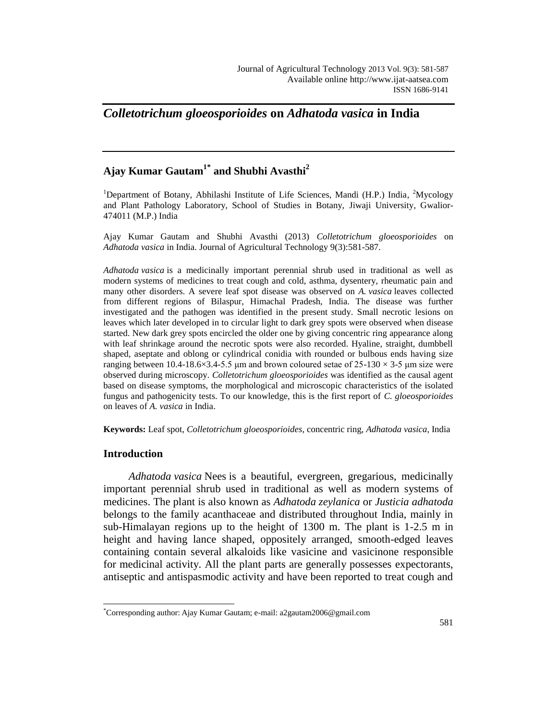# *Colletotrichum gloeosporioides* **on** *Adhatoda vasica* **in India**

# **Ajay Kumar Gautam1\* and Shubhi Avasthi<sup>2</sup>**

<sup>1</sup>Department of Botany, Abhilashi Institute of Life Sciences, Mandi (H.P.) India, <sup>2</sup>Mycology and Plant Pathology Laboratory, School of Studies in Botany, Jiwaji University, Gwalior-474011 (M.P.) India

Ajay Kumar Gautam and Shubhi Avasthi (2013) *Colletotrichum gloeosporioides* on *Adhatoda vasica* in India. Journal of Agricultural Technology 9(3):581-587.

*Adhatoda vasica* is a medicinally important perennial shrub used in traditional as well as modern systems of medicines to treat cough and cold, asthma, dysentery, rheumatic pain and many other disorders. A severe leaf spot disease was observed on *A. vasica* leaves collected from different regions of Bilaspur, Himachal Pradesh, India. The disease was further investigated and the pathogen was identified in the present study. Small necrotic lesions on leaves which later developed in to circular light to dark grey spots were observed when disease started. New dark grey spots encircled the older one by giving concentric ring appearance along with leaf shrinkage around the necrotic spots were also recorded. Hyaline, straight, dumbbell shaped, aseptate and oblong or cylindrical conidia with rounded or bulbous ends having size ranging between 10.4-18.6×3.4-5.5 µm and brown coloured setae of  $25{\text -}130 \times 3{\text -}5$  µm size were observed during microscopy. *Colletotrichum gloeosporioides* was identified as the causal agent based on disease symptoms, the morphological and microscopic characteristics of the isolated fungus and pathogenicity tests. To our knowledge, this is the first report of *C. gloeosporioides* on leaves of *A. vasica* in India.

**Keywords:** Leaf spot, *Colletotrichum gloeosporioides*, concentric ring, *Adhatoda vasica*, India

# **Introduction**

 $\overline{a}$ 

*Adhatoda vasica* Nees is a beautiful, evergreen, gregarious, medicinally important perennial shrub used in traditional as well as modern systems of medicines. The plant is also known as *Adhatoda zeylanica* or *Justicia adhatoda* belongs to the family acanthaceae and distributed throughout India, mainly in sub-Himalayan regions up to the height of 1300 m. The plant is 1-2.5 m in height and having lance shaped, oppositely arranged, smooth-edged leaves containing contain several alkaloids like vasicine and vasicinone responsible for medicinal activity. All the plant parts are generally possesses expectorants, antiseptic and antispasmodic activity and have been reported to treat cough and

<sup>\*</sup>Corresponding author: Ajay Kumar Gautam; e-mail: a2gautam2006@gmail.com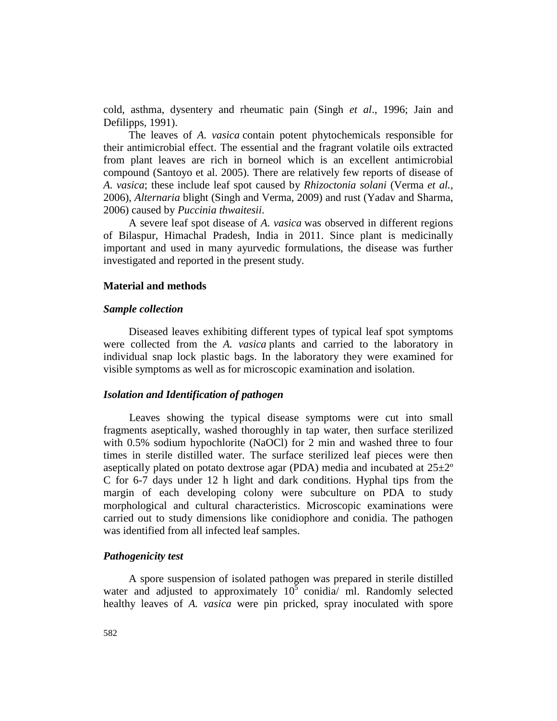cold, asthma, dysentery and rheumatic pain (Singh *et al*., 1996; Jain and Defilipps, 1991).

The leaves of *A. vasica* contain potent phytochemicals responsible for their antimicrobial effect. The essential and the fragrant volatile oils extracted from plant leaves are rich in borneol which is an excellent antimicrobial compound (Santoyo et al. 2005). There are relatively few reports of disease of *A. vasica*; these include leaf spot caused by *Rhizoctonia solani* (Verma *et al.,*  2006), *Alternaria* blight (Singh and Verma, 2009) and rust (Yadav and Sharma, 2006) caused by *Puccinia thwaitesii*.

A severe leaf spot disease of *A. vasica* was observed in different regions of Bilaspur, Himachal Pradesh, India in 2011. Since plant is medicinally important and used in many ayurvedic formulations, the disease was further investigated and reported in the present study.

#### **Material and methods**

#### *Sample collection*

Diseased leaves exhibiting different types of typical leaf spot symptoms were collected from the *A. vasica* plants and carried to the laboratory in individual snap lock plastic bags. In the laboratory they were examined for visible symptoms as well as for microscopic examination and isolation.

## *Isolation and Identification of pathogen*

Leaves showing the typical disease symptoms were cut into small fragments aseptically, washed thoroughly in tap water, then surface sterilized with 0.5% sodium hypochlorite (NaOCl) for 2 min and washed three to four times in sterile distilled water. The surface sterilized leaf pieces were then aseptically plated on potato dextrose agar (PDA) media and incubated at  $25\pm2^{\circ}$ C for 6-7 days under 12 h light and dark conditions. Hyphal tips from the margin of each developing colony were subculture on PDA to study morphological and cultural characteristics. Microscopic examinations were carried out to study dimensions like conidiophore and conidia. The pathogen was identified from all infected leaf samples.

## *Pathogenicity test*

A spore suspension of isolated pathogen was prepared in sterile distilled water and adjusted to approximately  $10^5$  conidia/ ml. Randomly selected healthy leaves of *A. vasica* were pin pricked, spray inoculated with spore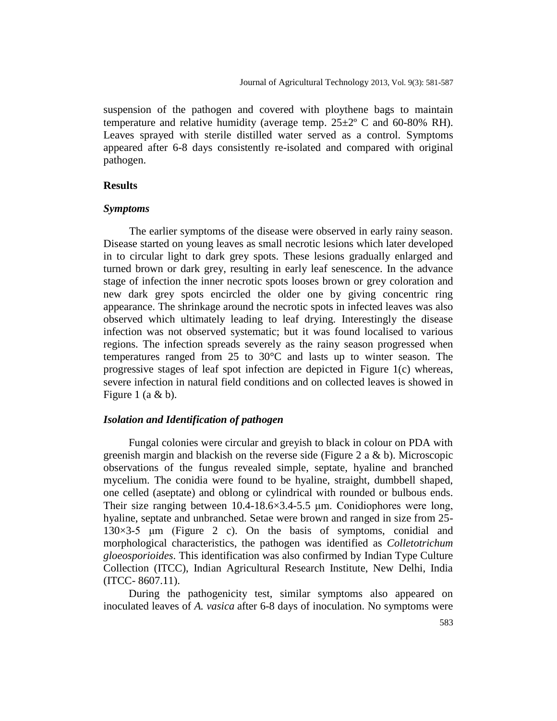suspension of the pathogen and covered with ploythene bags to maintain temperature and relative humidity (average temp.  $25\pm2^{\circ}$  C and 60-80% RH). Leaves sprayed with sterile distilled water served as a control. Symptoms appeared after 6-8 days consistently re-isolated and compared with original pathogen.

### **Results**

### *Symptoms*

The earlier symptoms of the disease were observed in early rainy season. Disease started on young leaves as small necrotic lesions which later developed in to circular light to dark grey spots. These lesions gradually enlarged and turned brown or dark grey, resulting in early leaf senescence. In the advance stage of infection the inner necrotic spots looses brown or grey coloration and new dark grey spots encircled the older one by giving concentric ring appearance. The shrinkage around the necrotic spots in infected leaves was also observed which ultimately leading to leaf drying. Interestingly the disease infection was not observed systematic; but it was found localised to various regions. The infection spreads severely as the rainy season progressed when temperatures ranged from 25 to 30°C and lasts up to winter season. The progressive stages of leaf spot infection are depicted in Figure 1(c) whereas, severe infection in natural field conditions and on collected leaves is showed in Figure 1 (a  $&$  b).

## *Isolation and Identification of pathogen*

Fungal colonies were circular and greyish to black in colour on PDA with greenish margin and blackish on the reverse side (Figure 2 a  $\&$  b). Microscopic observations of the fungus revealed simple, septate, hyaline and branched mycelium. The conidia were found to be hyaline, straight, dumbbell shaped, one celled (aseptate) and oblong or cylindrical with rounded or bulbous ends. Their size ranging between 10.4-18.6×3.4-5.5 μm. Conidiophores were long, hyaline, septate and unbranched. Setae were brown and ranged in size from 25- 130×3-5 μm (Figure 2 c). On the basis of symptoms, conidial and morphological characteristics, the pathogen was identified as *Colletotrichum gloeosporioides*. This identification was also confirmed by Indian Type Culture Collection (ITCC), Indian Agricultural Research Institute, New Delhi, India (ITCC- 8607.11).

During the pathogenicity test, similar symptoms also appeared on inoculated leaves of *A. vasica* after 6-8 days of inoculation. No symptoms were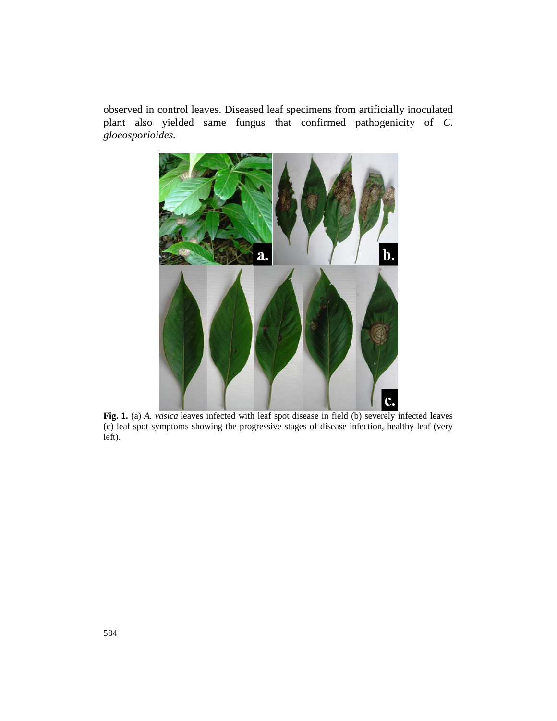observed in control leaves. Diseased leaf specimens from artificially inoculated plant also yielded same fungus that confirmed pathogenicity of *C. gloeosporioides.* 



**Fig. 1.** (a) *A. vasica* leaves infected with leaf spot disease in field (b) severely infected leaves (c) leaf spot symptoms showing the progressive stages of disease infection, healthy leaf (very left).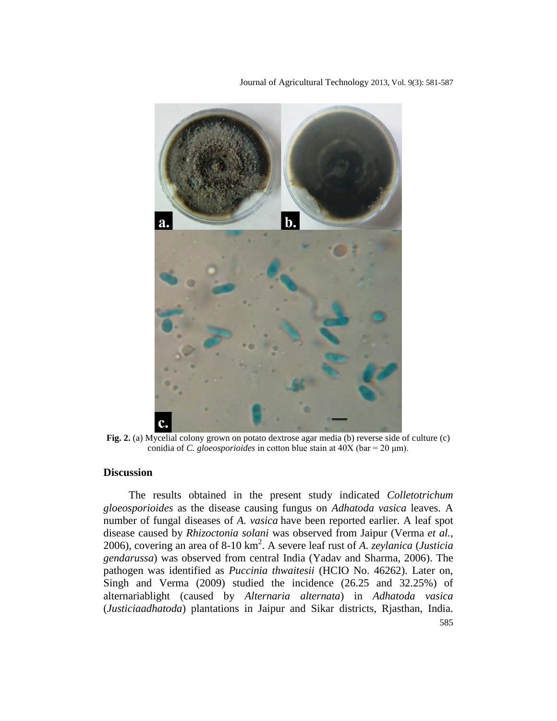Journal of Agricultural Technology 2013, Vol. 9(3): 581-587



**Fig. 2.** (a) Mycelial colony grown on potato dextrose agar media (b) reverse side of culture (c) conidia of *C. gloeosporioides* in cotton blue stain at 40X (bar = 20 μm).

### **Discussion**

585 The results obtained in the present study indicated *Colletotrichum gloeosporioides* as the disease causing fungus on *Adhatoda vasica* leaves. A number of fungal diseases of *A. vasica* have been reported earlier. A leaf spot disease caused by *Rhizoctonia solani* was observed from Jaipur (Verma *et al.,* 2006), covering an area of 8-10 km<sup>2</sup> . A severe leaf rust of *A. zeylanica* (*Justicia gendarussa*) was observed from central India (Yadav and Sharma, 2006). The pathogen was identified as *Puccinia thwaitesii* (HCIO No. 46262). Later on, Singh and Verma (2009) studied the incidence (26.25 and 32.25%) of alternariablight (caused by *Alternaria alternata*) in *Adhatoda vasica* (*Justiciaadhatoda*) plantations in Jaipur and Sikar districts, Rjasthan, India.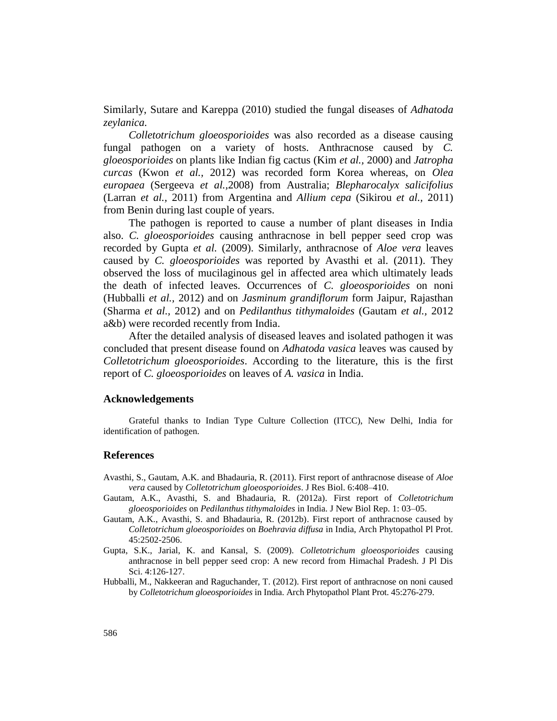Similarly, Sutare and Kareppa (2010) studied the fungal diseases of *Adhatoda zeylanica.*

*Colletotrichum gloeosporioides* was also recorded as a disease causing fungal pathogen on a variety of hosts. Anthracnose caused by *C. gloeosporioides* on plants like Indian fig cactus (Kim *et al.,* 2000) and *Jatropha curcas* (Kwon *et al.,* 2012) was recorded form Korea whereas, on *Olea europaea* (Sergeeva *et al.,*2008) from Australia; *Blepharocalyx salicifolius* (Larran *et al.,* 2011) from Argentina and *Allium cepa* (Sikirou *et al.,* 2011) from Benin during last couple of years.

The pathogen is reported to cause a number of plant diseases in India also. *C. gloeosporioides* causing anthracnose in bell pepper seed crop was recorded by Gupta *et al.* (2009). Similarly, anthracnose of *Aloe vera* leaves caused by *C. gloeosporioides* was reported by Avasthi et al. (2011). They observed the loss of mucilaginous gel in affected area which ultimately leads the death of infected leaves. Occurrences of *C. gloeosporioides* on noni (Hubballi *et al.,* 2012) and on *Jasminum grandiflorum* form Jaipur, Rajasthan (Sharma *et al.,* 2012) and on *Pedilanthus tithymaloides* (Gautam *et al.,* 2012 a&b) were recorded recently from India.

After the detailed analysis of diseased leaves and isolated pathogen it was concluded that present disease found on *Adhatoda vasica* leaves was caused by *Colletotrichum gloeosporioides*. According to the literature, this is the first report of *C. gloeosporioides* on leaves of *A. vasica* in India.

#### **Acknowledgements**

Grateful thanks to Indian Type Culture Collection (ITCC), New Delhi, India for identification of pathogen.

#### **References**

- Avasthi, S., Gautam, A.K. and Bhadauria, R. (2011). First report of anthracnose disease of *Aloe vera* caused by *Colletotrichum gloeosporioides*. J Res Biol. 6:408–410.
- Gautam, A.K., Avasthi, S. and Bhadauria, R. (2012a). First report of *Colletotrichum gloeosporioides* on *Pedilanthus tithymaloides* in India. J New Biol Rep. 1: 03–05.
- Gautam, A.K., Avasthi, S. and Bhadauria, R. (2012b). First report of anthracnose caused by *Colletotrichum gloeosporioides* on *Boehravia diffusa* in India, Arch Phytopathol Pl Prot. 45:2502-2506.
- Gupta, S.K., Jarial, K. and Kansal, S. (2009). *Colletotrichum gloeosporioides* causing anthracnose in bell pepper seed crop: A new record from Himachal Pradesh. J Pl Dis Sci. 4:126-127.
- Hubballi, M., Nakkeeran and Raguchander, T. (2012). First report of anthracnose on noni caused by *Colletotrichum gloeosporioides* in India. Arch Phytopathol Plant Prot. 45:276-279.